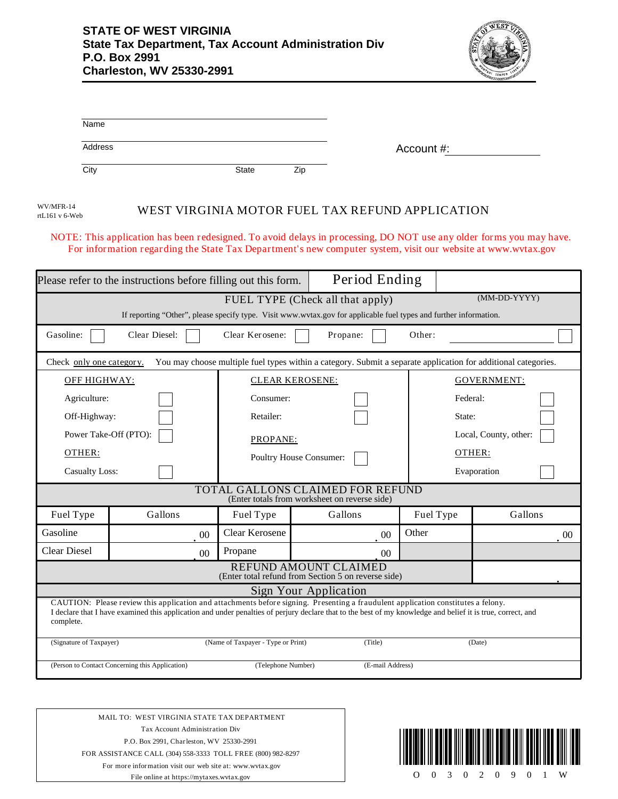

| Name    |       |     |            |
|---------|-------|-----|------------|
| Address |       |     | Account #: |
| City    | State | Zip |            |

rtL161 v 6-Web

## WV/MFR-14<br>WEST VIRGINIA MOTOR FUEL TAX REFUND APPLICATION

NOTE: This application has been redesigned. To avoid delays in processing, DO NOT use any older forms you may have. For information regarding the State Tax Department's new computer system, visit our website at www.wvtax.gov

|                                                                                                                                                                                                                                                                                                               | Please refer to the instructions before filling out this form. |                                    | Period Ending           |           |                       |  |  |  |  |
|---------------------------------------------------------------------------------------------------------------------------------------------------------------------------------------------------------------------------------------------------------------------------------------------------------------|----------------------------------------------------------------|------------------------------------|-------------------------|-----------|-----------------------|--|--|--|--|
| $(MM\text{-}DD\text{-}YYYY)$<br>FUEL TYPE (Check all that apply)<br>If reporting "Other", please specify type. Visit www.wvtax.gov for applicable fuel types and further information.                                                                                                                         |                                                                |                                    |                         |           |                       |  |  |  |  |
| Gasoline:                                                                                                                                                                                                                                                                                                     | Clear Diesel:                                                  | Clear Kerosene:                    | Propane:                | Other:    |                       |  |  |  |  |
| You may choose multiple fuel types within a category. Submit a separate application for additional categories.<br>Check only one category.                                                                                                                                                                    |                                                                |                                    |                         |           |                       |  |  |  |  |
| <b>OFF HIGHWAY:</b>                                                                                                                                                                                                                                                                                           |                                                                | <b>CLEAR KEROSENE:</b>             |                         |           | <b>GOVERNMENT:</b>    |  |  |  |  |
| Agriculture:                                                                                                                                                                                                                                                                                                  |                                                                | Consumer:                          |                         |           | Federal:              |  |  |  |  |
| Off-Highway:                                                                                                                                                                                                                                                                                                  |                                                                | Retailer:                          |                         | State:    |                       |  |  |  |  |
| Power Take-Off (PTO):                                                                                                                                                                                                                                                                                         |                                                                | PROPANE:                           |                         |           | Local, County, other: |  |  |  |  |
| OTHER:                                                                                                                                                                                                                                                                                                        |                                                                |                                    | Poultry House Consumer: |           | OTHER:                |  |  |  |  |
|                                                                                                                                                                                                                                                                                                               | <b>Casualty Loss:</b>                                          |                                    |                         |           | Evaporation           |  |  |  |  |
| TOTAL GALLONS CLAIMED FOR REFUND<br>(Enter totals from worksheet on reverse side)                                                                                                                                                                                                                             |                                                                |                                    |                         |           |                       |  |  |  |  |
| Fuel Type                                                                                                                                                                                                                                                                                                     | Gallons                                                        | Fuel Type                          | Gallons                 | Fuel Type | Gallons               |  |  |  |  |
| Gasoline                                                                                                                                                                                                                                                                                                      | 00                                                             | <b>Clear Kerosene</b>              | 00                      | Other     | 00                    |  |  |  |  |
| <b>Clear Diesel</b>                                                                                                                                                                                                                                                                                           | 0 <sup>0</sup>                                                 | Propane                            | 00 <sup>1</sup>         |           |                       |  |  |  |  |
| REFUND AMOUNT CLAIMED<br>(Enter total refund from Section 5 on reverse side)                                                                                                                                                                                                                                  |                                                                |                                    |                         |           |                       |  |  |  |  |
|                                                                                                                                                                                                                                                                                                               | Sign Your Application                                          |                                    |                         |           |                       |  |  |  |  |
| CAUTION: Please review this application and attachments before signing. Presenting a fraudulent application constitutes a felony.<br>I declare that I have examined this application and under penalties of perjury declare that to the best of my knowledge and belief it is true, correct, and<br>complete. |                                                                |                                    |                         |           |                       |  |  |  |  |
| (Signature of Taxpayer)                                                                                                                                                                                                                                                                                       |                                                                | (Name of Taxpayer - Type or Print) | (Title)                 |           | (Date)                |  |  |  |  |
| (Person to Contact Concerning this Application)<br>(Telephone Number)<br>(E-mail Address)                                                                                                                                                                                                                     |                                                                |                                    |                         |           |                       |  |  |  |  |

MAIL TO: WEST VIRGINIA STATE TAX DEPARTMENT Tax Account Administration Div P.O. Box 2991, Charleston, WV 25330-2991 FOR ASSISTANCE CALL (304) 558-3333 TOLL FREE (800) 982-8297 For more information visit our web site at: www.wvtax.gov